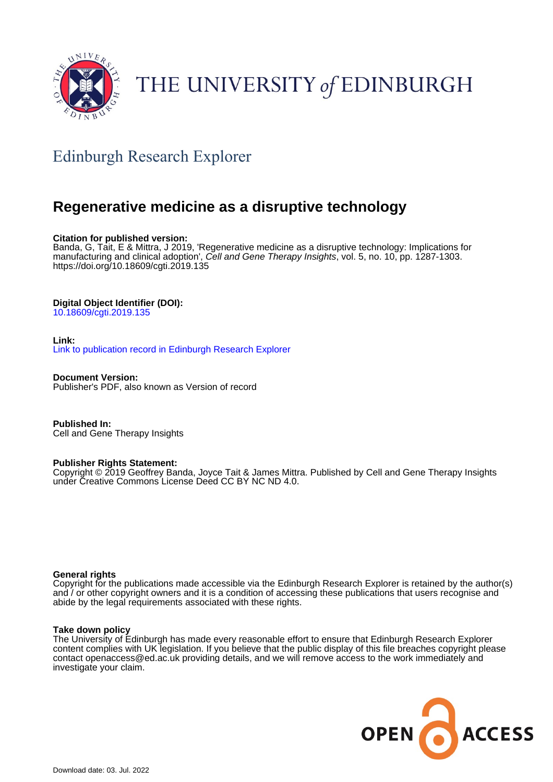

# THE UNIVERSITY of EDINBURGH

# Edinburgh Research Explorer

# **Regenerative medicine as a disruptive technology**

### **Citation for published version:**

Banda, G, Tait, E & Mittra, J 2019, 'Regenerative medicine as a disruptive technology: Implications for manufacturing and clinical adoption', Cell and Gene Therapy Insights, vol. 5, no. 10, pp. 1287-1303. <https://doi.org/10.18609/cgti.2019.135>

#### **Digital Object Identifier (DOI):**

[10.18609/cgti.2019.135](https://doi.org/10.18609/cgti.2019.135)

#### **Link:**

[Link to publication record in Edinburgh Research Explorer](https://www.research.ed.ac.uk/en/publications/da302446-a271-4eef-82ad-64a3d8987109)

**Document Version:** Publisher's PDF, also known as Version of record

**Published In:** Cell and Gene Therapy Insights

#### **Publisher Rights Statement:**

Copyright © 2019 Geoffrey Banda, Joyce Tait & James Mittra. Published by Cell and Gene Therapy Insights under Creative Commons License Deed CC BY NC ND 4.0.

#### **General rights**

Copyright for the publications made accessible via the Edinburgh Research Explorer is retained by the author(s) and / or other copyright owners and it is a condition of accessing these publications that users recognise and abide by the legal requirements associated with these rights.

#### **Take down policy**

The University of Edinburgh has made every reasonable effort to ensure that Edinburgh Research Explorer content complies with UK legislation. If you believe that the public display of this file breaches copyright please contact openaccess@ed.ac.uk providing details, and we will remove access to the work immediately and investigate your claim.

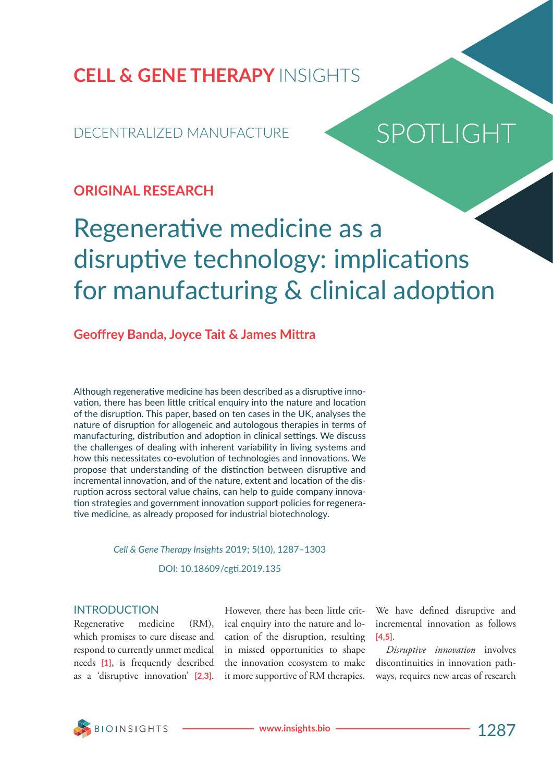**CELL & GENE THERAPY** INSIGHTS

# DECENTRALIZED MANUFACTURE

# SPOTLIGHT

# **ORIGINAL RESEARCH**

# Regenerative medicine as a disruptive technology: implications for manufacturing & clinical adoption

# **Geoffrey Banda, Joyce Tait & James Mittra**

Although regenerative medicine has been described as a disruptive innovation, there has been little critical enquiry into the nature and location of the disruption. This paper, based on ten cases in the UK, analyses the nature of disruption for allogeneic and autologous therapies in terms of manufacturing, distribution and adoption in clinical settings. We discuss the challenges of dealing with inherent variability in living systems and how this necessitates co-evolution of technologies and innovations. We propose that understanding of the distinction between disruptive and incremental innovation, and of the nature, extent and location of the disruption across sectoral value chains, can help to guide company innovation strategies and government innovation support policies for regenerative medicine, as already proposed for industrial biotechnology.

# *Cell & Gene Therapy Insights* 2019; 5(10), 1287–1303 DOI: 10.18609/cgti.2019.135

## INTRODUCTION

Regenerative medicine (RM), which promises to cure disease and respond to currently unmet medical needs **[1]**, is frequently described as a 'disruptive innovation' **[2,3]**.

However, there has been little critical enquiry into the nature and location of the disruption, resulting in missed opportunities to shape the innovation ecosystem to make it more supportive of RM therapies.

We have defined disruptive and incremental innovation as follows **[4,5]**.

*Disruptive innovation* involves discontinuities in innovation pathways, requires new areas of research

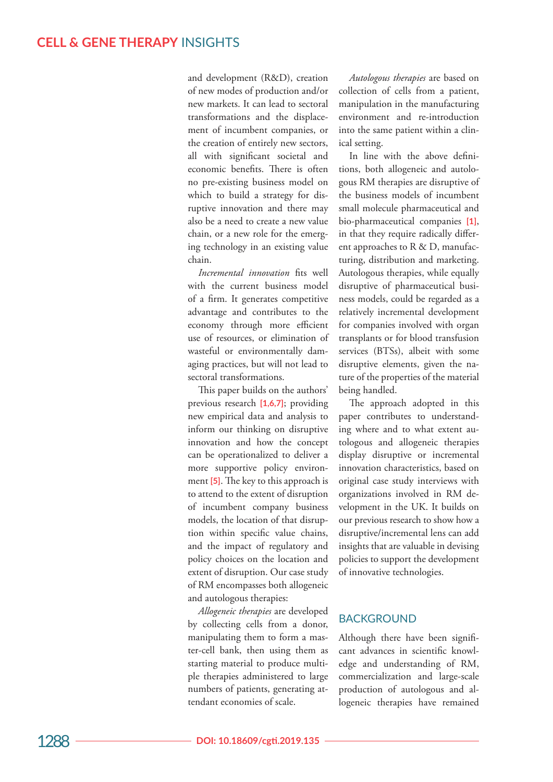and development (R&D), creation of new modes of production and/or new markets. It can lead to sectoral transformations and the displace ment of incumbent companies, or the creation of entirely new sectors, all with significant societal and economic benefits. There is often no pre-existing business model on which to build a strategy for dis ruptive innovation and there may also be a need to create a new value chain, or a new role for the emerg ing technology in an existing value chain.

*Incremental innovation* fits well with the current business model of a firm. It generates competitive advantage and contributes to the economy through more efficient use of resources, or elimination of wasteful or environmentally dam aging practices, but will not lead to sectoral transformations.

This paper builds on the authors' previous research **[1,6,7]**; providing new empirical data and analysis to inform our thinking on disruptive innovation and how the concept can be operationalized to deliver a more supportive policy environ ment **[5]**. The key to this approach is to attend to the extent of disruption of incumbent company business models, the location of that disrup tion within specific value chains, and the impact of regulatory and policy choices on the location and extent of disruption. Our case study of RM encompasses both allogeneic and autologous therapies:

*Allogeneic therapies* are developed by collecting cells from a donor, manipulating them to form a mas ter-cell bank, then using them as starting material to produce multi ple therapies administered to large numbers of patients, generating at tendant economies of scale.

*Autologous therapies* are based on collection of cells from a patient, manipulation in the manufacturing environment and re-introduction into the same patient within a clin ical setting.

In line with the above defini tions, both allogeneic and autolo gous RM therapies are disruptive of the business models of incumbent small molecule pharmaceutical and bio-pharmaceutical companies **[1]**, in that they require radically differ ent approaches to R & D, manufacturing, distribution and marketing. Autologous therapies, while equally disruptive of pharmaceutical busi ness models, could be regarded as a relatively incremental development for companies involved with organ transplants or for blood transfusion services (BTSs), albeit with some disruptive elements, given the na ture of the properties of the material being handled.

The approach adopted in this paper contributes to understand ing where and to what extent au tologous and allogeneic therapies display disruptive or incremental innovation characteristics, based on original case study interviews with organizations involved in RM de velopment in the UK. It builds on our previous research to show how a disruptive/incremental lens can add insights that are valuable in devising policies to support the development of innovative technologies.

# **BACKGROUND**

Although there have been signifi cant advances in scientific knowl edge and understanding of RM, commercialization and large-scale production of autologous and al logeneic therapies have remained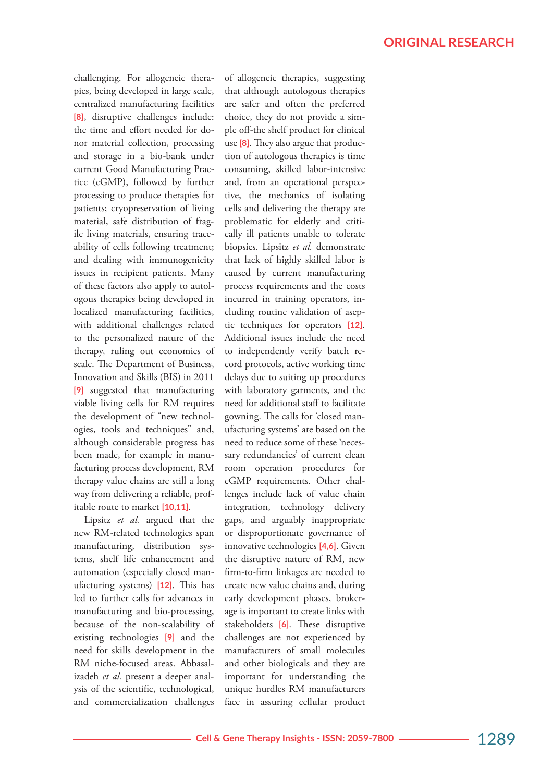challenging. For allogeneic therapies, being developed in large scale, centralized manufacturing facilities **[8]**, disruptive challenges include: the time and effort needed for donor material collection, processing and storage in a bio-bank under current Good Manufacturing Practice (cGMP), followed by further processing to produce therapies for patients; cryopreservation of living material, safe distribution of fragile living materials, ensuring traceability of cells following treatment; and dealing with immunogenicity issues in recipient patients. Many of these factors also apply to autologous therapies being developed in localized manufacturing facilities, with additional challenges related to the personalized nature of the therapy, ruling out economies of scale. The Department of Business, Innovation and Skills (BIS) in 2011 **[9]** suggested that manufacturing viable living cells for RM requires the development of "new technologies, tools and techniques" and, although considerable progress has been made, for example in manufacturing process development, RM therapy value chains are still a long way from delivering a reliable, profitable route to market **[10,11]**.

Lipsitz *et al.* argued that the new RM-related technologies span manufacturing, distribution systems, shelf life enhancement and automation (especially closed manufacturing systems) **[12]**. This has led to further calls for advances in manufacturing and bio-processing, because of the non-scalability of existing technologies **[9]** and the need for skills development in the RM niche-focused areas. Abbasalizadeh *et al.* present a deeper analysis of the scientific, technological, and commercialization challenges

of allogeneic therapies, suggesting that although autologous therapies are safer and often the preferred choice, they do not provide a simple off-the shelf product for clinical use **[8]**. They also argue that production of autologous therapies is time consuming, skilled labor-intensive and, from an operational perspective, the mechanics of isolating cells and delivering the therapy are problematic for elderly and critically ill patients unable to tolerate biopsies. Lipsitz *et al.* demonstrate that lack of highly skilled labor is caused by current manufacturing process requirements and the costs incurred in training operators, including routine validation of aseptic techniques for operators **[12]**. Additional issues include the need to independently verify batch record protocols, active working time delays due to suiting up procedures with laboratory garments, and the need for additional staff to facilitate gowning. The calls for 'closed manufacturing systems' are based on the need to reduce some of these 'necessary redundancies' of current clean room operation procedures for cGMP requirements. Other challenges include lack of value chain integration, technology delivery gaps, and arguably inappropriate or disproportionate governance of innovative technologies **[4,6]**. Given the disruptive nature of RM, new firm-to-firm linkages are needed to create new value chains and, during early development phases, brokerage is important to create links with stakeholders **[6]**. These disruptive challenges are not experienced by manufacturers of small molecules and other biologicals and they are important for understanding the unique hurdles RM manufacturers face in assuring cellular product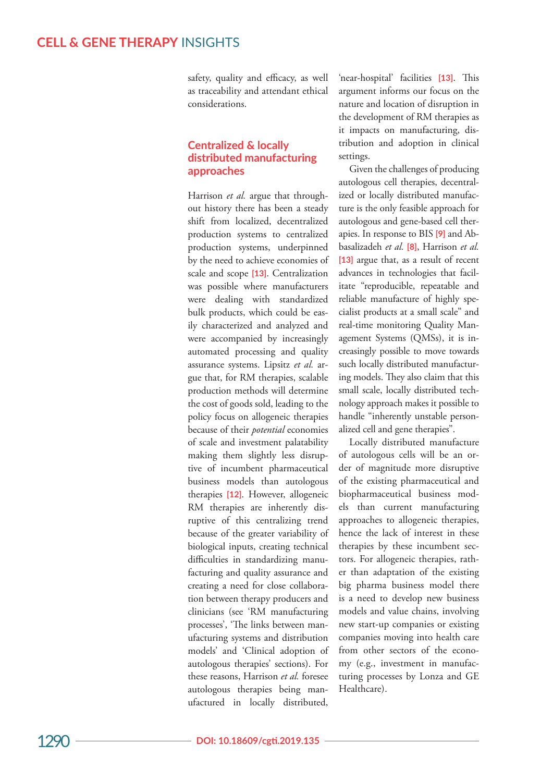safety, quality and efficacy, as well as traceability and attendant ethical considerations.

## **Centralized & locally distributed manufacturing approaches**

Harrison *et al.* argue that throughout history there has been a steady shift from localized, decentralized production systems to centralized production systems, underpinned by the need to achieve economies of scale and scope **[13]**. Centralization was possible where manufacturers were dealing with standardized bulk products, which could be eas ily characterized and analyzed and were accompanied by increasingly automated processing and quality assurance systems. Lipsitz *et al.* ar gue that, for RM therapies, scalable production methods will determine the cost of goods sold, leading to the policy focus on allogeneic therapies because of their *potential* economies of scale and investment palatability making them slightly less disrup tive of incumbent pharmaceutical business models than autologous therapies **[12]**. However, allogeneic RM therapies are inherently disruptive of this centralizing trend because of the greater variability of biological inputs, creating technical difficulties in standardizing manu facturing and quality assurance and creating a need for close collabora tion between therapy producers and clinicians (see 'RM manufacturing processes', 'The links between man ufacturing systems and distribution models' and 'Clinical adoption of autologous therapies' sections). For these reasons, Harrison *et al.* foresee autologous therapies being man ufactured in locally distributed,

'near-hospital' facilities **[13]**. This argument informs our focus on the nature and location of disruption in the development of RM therapies as it impacts on manufacturing, dis tribution and adoption in clinical settings.

Given the challenges of producing autologous cell therapies, decentral ized or locally distributed manufac ture is the only feasible approach for autologous and gene-based cell ther apies. In response to BIS **[9]** and Ab basalizadeh *et al.* **[8]**, Harrison *et al.* **[13]** argue that, as a result of recent advances in technologies that facil itate "reproducible, repeatable and reliable manufacture of highly spe cialist products at a small scale" and real-time monitoring Quality Man agement Systems (QMSs), it is in creasingly possible to move towards such locally distributed manufactur ing models. They also claim that this small scale, locally distributed tech nology approach makes it possible to handle "inherently unstable person alized cell and gene therapies".

Locally distributed manufacture of autologous cells will be an or der of magnitude more disruptive of the existing pharmaceutical and biopharmaceutical business mod els than current manufacturing approaches to allogeneic therapies, hence the lack of interest in these therapies by these incumbent sec tors. For allogeneic therapies, rath er than adaptation of the existing big pharma business model there is a need to develop new business models and value chains, involving new start-up companies or existing companies moving into health care from other sectors of the econo my (e.g., investment in manufac turing processes by Lonza and GE Healthcare).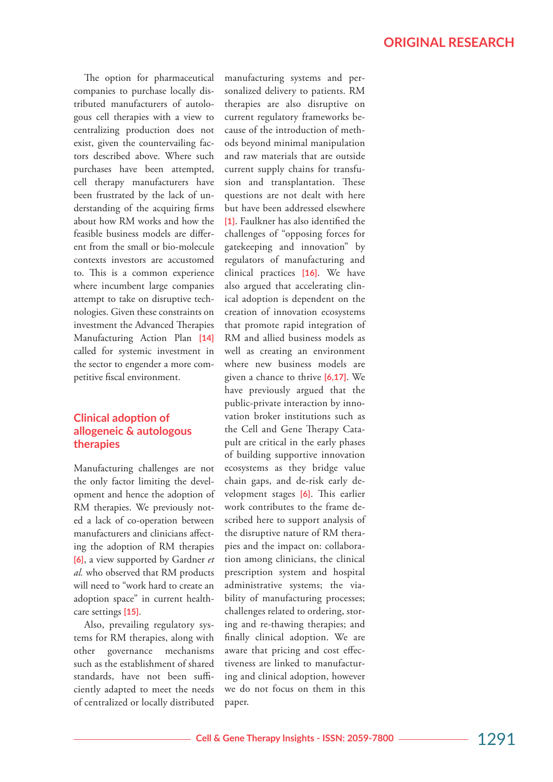The option for pharmaceutical companies to purchase locally distributed manufacturers of autologous cell therapies with a view to centralizing production does not exist, given the countervailing factors described above. Where such purchases have been attempted, cell therapy manufacturers have been frustrated by the lack of understanding of the acquiring firms about how RM works and how the feasible business models are different from the small or bio-molecule contexts investors are accustomed to. This is a common experience where incumbent large companies attempt to take on disruptive technologies. Given these constraints on investment the Advanced Therapies Manufacturing Action Plan **[14]** called for systemic investment in the sector to engender a more competitive fiscal environment.

# **Clinical adoption of allogeneic & autologous therapies**

Manufacturing challenges are not the only factor limiting the development and hence the adoption of RM therapies. We previously noted a lack of co-operation between manufacturers and clinicians affecting the adoption of RM therapies **[6]**, a view supported by Gardner *et al.* who observed that RM products will need to "work hard to create an adoption space" in current healthcare settings **[15]**.

Also, prevailing regulatory systems for RM therapies, along with other governance mechanisms such as the establishment of shared standards, have not been sufficiently adapted to meet the needs of centralized or locally distributed manufacturing systems and personalized delivery to patients. RM therapies are also disruptive on current regulatory frameworks because of the introduction of methods beyond minimal manipulation and raw materials that are outside current supply chains for transfusion and transplantation. These questions are not dealt with here but have been addressed elsewhere **[1]**. Faulkner has also identified the challenges of "opposing forces for gatekeeping and innovation" by regulators of manufacturing and clinical practices **[16]**. We have also argued that accelerating clinical adoption is dependent on the creation of innovation ecosystems that promote rapid integration of RM and allied business models as well as creating an environment where new business models are given a chance to thrive **[6,17]**. We have previously argued that the public-private interaction by innovation broker institutions such as the Cell and Gene Therapy Catapult are critical in the early phases of building supportive innovation ecosystems as they bridge value chain gaps, and de-risk early development stages **[6]**. This earlier work contributes to the frame described here to support analysis of the disruptive nature of RM therapies and the impact on: collaboration among clinicians, the clinical prescription system and hospital administrative systems; the viability of manufacturing processes; challenges related to ordering, storing and re-thawing therapies; and finally clinical adoption. We are aware that pricing and cost effectiveness are linked to manufacturing and clinical adoption, however we do not focus on them in this paper.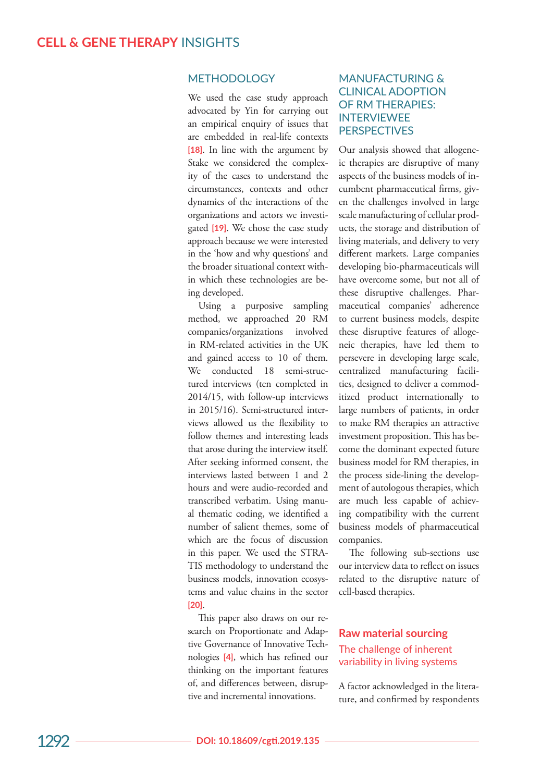## METHODOLOGY

We used the case study approach advocated by Yin for carrying out an empirical enquiry of issues that are embedded in real-life contexts **[18]**. In line with the argument by Stake we considered the complex ity of the cases to understand the circumstances, contexts and other dynamics of the interactions of the organizations and actors we investi gated **[19]**. We chose the case study approach because we were interested in the 'how and why questions' and the broader situational context with in which these technologies are be ing developed.

Using a purposive sampling method, we approached 20 RM companies/organizations involved in RM-related activities in the UK and gained access to 10 of them. We conducted 18 semi-struc tured interviews (ten completed in 2014/15, with follow-up interviews in 2015/16). Semi-structured inter views allowed us the flexibility to follow themes and interesting leads that arose during the interview itself. After seeking informed consent, the interviews lasted between 1 and 2 hours and were audio-recorded and transcribed verbatim. Using manu al thematic coding, we identified a number of salient themes, some of which are the focus of discussion in this paper. We used the STRA - TIS methodology to understand the business models, innovation ecosys tems and value chains in the sector **[20]**.

This paper also draws on our re search on Proportionate and Adap tive Governance of Innovative Tech nologies **[4]**, which has refined our thinking on the important features of, and differences between, disrup tive and incremental innovations.

## MANUFACTURING & CLINICAL ADOPTION OF RM THERAPIES: INTERVIEWEE **PERSPECTIVES**

Our analysis showed that allogene ic therapies are disruptive of many aspects of the business models of in cumbent pharmaceutical firms, giv en the challenges involved in large scale manufacturing of cellular prod ucts, the storage and distribution of living materials, and delivery to very different markets. Large companies developing bio-pharmaceuticals will have overcome some, but not all of these disruptive challenges. Phar maceutical companies' adherence to current business models, despite these disruptive features of alloge neic therapies, have led them to persevere in developing large scale, centralized manufacturing facili ties, designed to deliver a commod itized product internationally to large numbers of patients, in order to make RM therapies an attractive investment proposition. This has be come the dominant expected future business model for RM therapies, in the process side-lining the develop ment of autologous therapies, which are much less capable of achiev ing compatibility with the current business models of pharmaceutical companies.

The following sub-sections use our interview data to reflect on issues related to the disruptive nature of cell-based therapies.

## **Raw material sourcing**  The challenge of inherent variability in living systems

A factor acknowledged in the litera ture, and confirmed by respondents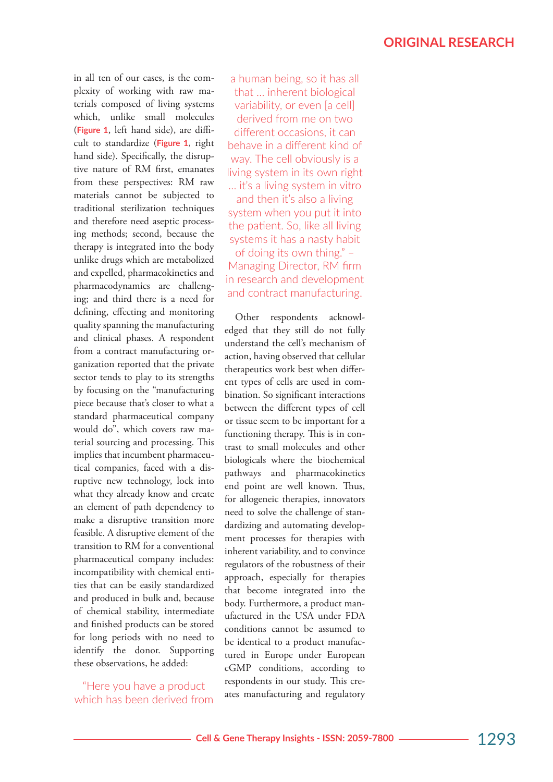in all ten of our cases, is the complexity of working with raw materials composed of living systems which, unlike small molecules (**Figure 1**, left hand side), are difficult to standardize (**Figure 1**, right hand side). Specifically, the disruptive nature of RM first, emanates from these perspectives: RM raw materials cannot be subjected to traditional sterilization techniques and therefore need aseptic processing methods; second, because the therapy is integrated into the body unlike drugs which are metabolized and expelled, pharmacokinetics and pharmacodynamics are challenging; and third there is a need for defining, effecting and monitoring quality spanning the manufacturing and clinical phases. A respondent from a contract manufacturing organization reported that the private sector tends to play to its strengths by focusing on the "manufacturing piece because that's closer to what a standard pharmaceutical company would do", which covers raw material sourcing and processing. This implies that incumbent pharmaceutical companies, faced with a disruptive new technology, lock into what they already know and create an element of path dependency to make a disruptive transition more feasible. A disruptive element of the transition to RM for a conventional pharmaceutical company includes: incompatibility with chemical entities that can be easily standardized and produced in bulk and, because of chemical stability, intermediate and finished products can be stored for long periods with no need to identify the donor. Supporting these observations, he added:

"Here you have a product which has been derived from

a human being, so it has all that … inherent biological variability, or even [a cell] derived from me on two different occasions, it can behave in a different kind of way. The cell obviously is a living system in its own right … it's a living system in vitro and then it's also a living system when you put it into the patient. So, like all living systems it has a nasty habit of doing its own thing." – Managing Director, RM firm in research and development and contract manufacturing.

Other respondents acknowledged that they still do not fully understand the cell's mechanism of action, having observed that cellular therapeutics work best when different types of cells are used in combination. So significant interactions between the different types of cell or tissue seem to be important for a functioning therapy. This is in contrast to small molecules and other biologicals where the biochemical pathways and pharmacokinetics end point are well known. Thus, for allogeneic therapies, innovators need to solve the challenge of standardizing and automating development processes for therapies with inherent variability, and to convince regulators of the robustness of their approach, especially for therapies that become integrated into the body. Furthermore, a product manufactured in the USA under FDA conditions cannot be assumed to be identical to a product manufactured in Europe under European cGMP conditions, according to respondents in our study. This creates manufacturing and regulatory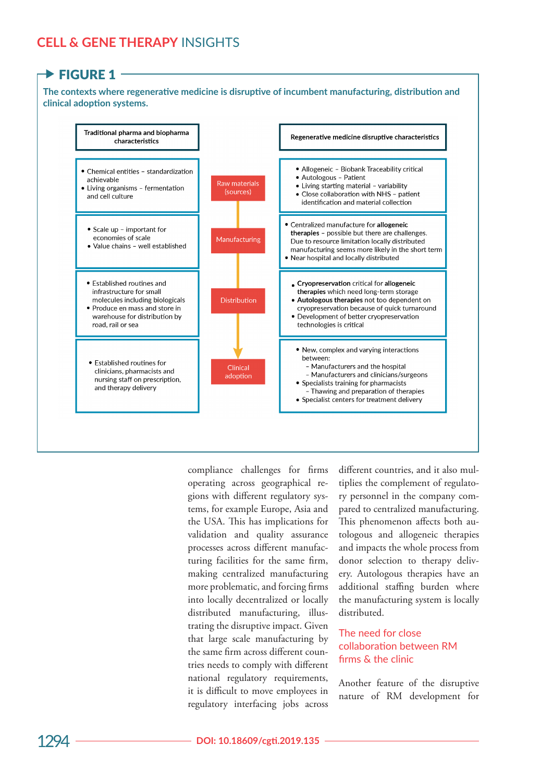# **CELL & GENE THERAPY** INSIGHTS

# $\rightarrow$  FIGURE 1

**The contexts where regenerative medicine is disruptive of incumbent manufacturing, distribution and clinical adoption systems.**



compliance challenges for firms operating across geographical regions with different regulatory systems, for example Europe, Asia and the USA. This has implications for validation and quality assurance processes across different manufacturing facilities for the same firm, making centralized manufacturing more problematic, and forcing firms into locally decentralized or locally distributed manufacturing, illustrating the disruptive impact. Given that large scale manufacturing by the same firm across different countries needs to comply with different national regulatory requirements, it is difficult to move employees in regulatory interfacing jobs across

different countries, and it also multiplies the complement of regulatory personnel in the company compared to centralized manufacturing. This phenomenon affects both autologous and allogeneic therapies and impacts the whole process from donor selection to therapy delivery. Autologous therapies have an additional staffing burden where the manufacturing system is locally distributed.

## The need for close collaboration between RM firms & the clinic

Another feature of the disruptive nature of RM development for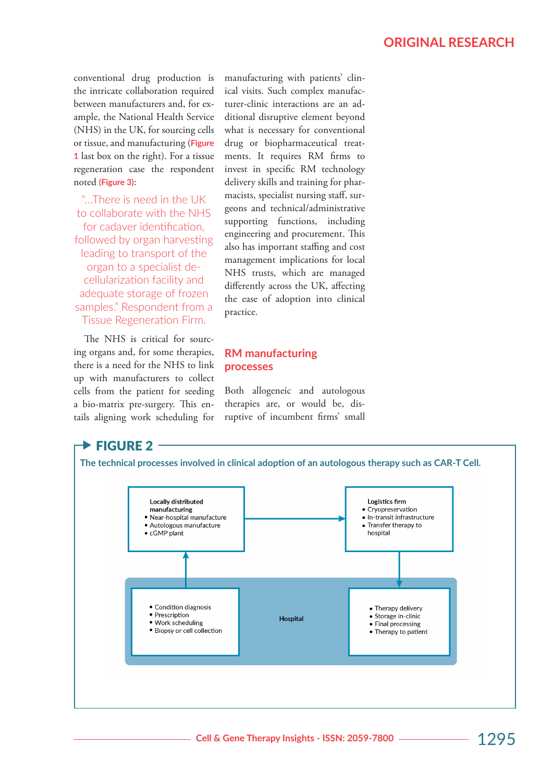conventional drug production is the intricate collaboration required between manufacturers and, for example, the National Health Service (NHS) in the UK, for sourcing cells or tissue, and manufacturing (**Figure 1** last box on the right). For a tissue regeneration case the respondent noted **(Figure 3)**:

"…There is need in the UK to collaborate with the NHS for cadaver identification, followed by organ harvesting leading to transport of the organ to a specialist decellularization facility and adequate storage of frozen samples." Respondent from a Tissue Regeneration Firm.

The NHS is critical for sourcing organs and, for some therapies, there is a need for the NHS to link up with manufacturers to collect cells from the patient for seeding a bio-matrix pre-surgery. This entails aligning work scheduling for

manufacturing with patients' clinical visits. Such complex manufacturer-clinic interactions are an additional disruptive element beyond what is necessary for conventional drug or biopharmaceutical treatments. It requires RM firms to invest in specific RM technology delivery skills and training for pharmacists, specialist nursing staff, surgeons and technical/administrative supporting functions, including engineering and procurement. This also has important staffing and cost management implications for local NHS trusts, which are managed differently across the UK, affecting the ease of adoption into clinical practice.

# **RM manufacturing processes**

Both allogeneic and autologous therapies are, or would be, disruptive of incumbent firms' small

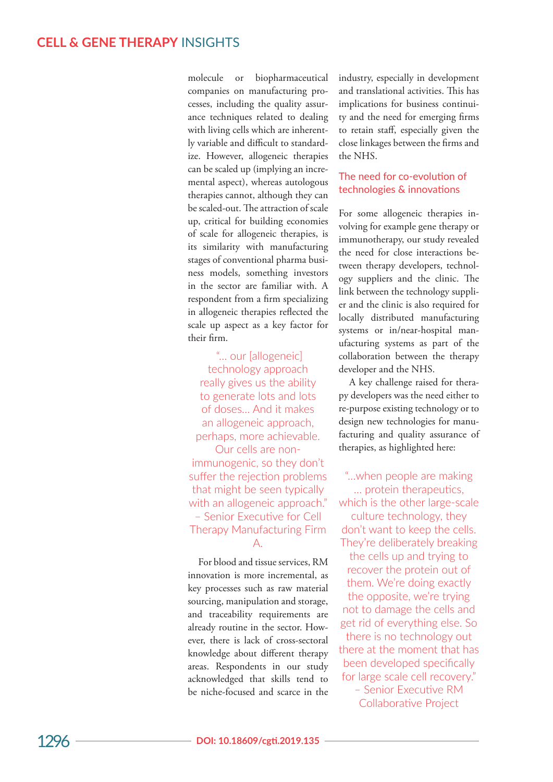molecule or biopharmaceutical companies on manufacturing pro cesses, including the quality assur ance techniques related to dealing with living cells which are inherent ly variable and difficult to standard ize. However, allogeneic therapies can be scaled up (implying an incre mental aspect), whereas autologous therapies cannot, although they can be scaled-out. The attraction of scale up, critical for building economies of scale for allogeneic therapies, is its similarity with manufacturing stages of conventional pharma busi ness models, something investors in the sector are familiar with. A respondent from a firm specializing in allogeneic therapies reflected the scale up aspect as a key factor for their firm.

 "… our [allogeneic] technology approach really gives us the ability to generate lots and lots of doses… And it makes an allogeneic approach, perhaps, more achievable.

Our cells are nonimmunogenic, so they don't suffer the rejection problems that might be seen typically with an allogeneic approach." – Senior Executive for Cell Therapy Manufacturing Firm A.

For blood and tissue services, RM innovation is more incremental, as key processes such as raw material sourcing, manipulation and storage, and traceability requirements are already routine in the sector. How ever, there is lack of cross-sectoral knowledge about different therapy areas. Respondents in our study acknowledged that skills tend to be niche-focused and scarce in the industry, especially in development and translational activities. This has implications for business continui ty and the need for emerging firms to retain staff, especially given the close linkages between the firms and the NHS.

## The need for co-evolution of technologies & innovations

For some allogeneic therapies in volving for example gene therapy or immunotherapy, our study revealed the need for close interactions be tween therapy developers, technol ogy suppliers and the clinic. The link between the technology suppli er and the clinic is also required for locally distributed manufacturing systems or in/near-hospital man ufacturing systems as part of the collaboration between the therapy developer and the NHS.

A key challenge raised for thera py developers was the need either to re-purpose existing technology or to design new technologies for manu facturing and quality assurance of therapies, as highlighted here:

"…when people are making … protein therapeutics,

which is the other large-scale culture technology, they don't want to keep the cells. They're deliberately breaking the cells up and trying to recover the protein out of them. We're doing exactly the opposite, we're trying not to damage the cells and get rid of everything else. So there is no technology out

there at the moment that has been developed specifically for large scale cell recovery."

– Senior Executive RM Collaborative Project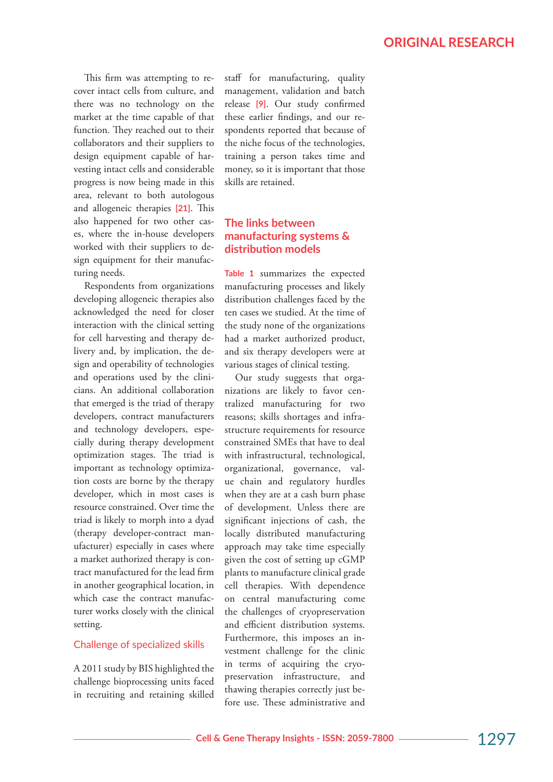This firm was attempting to recover intact cells from culture, and there was no technology on the market at the time capable of that function. They reached out to their collaborators and their suppliers to design equipment capable of harvesting intact cells and considerable progress is now being made in this area, relevant to both autologous and allogeneic therapies **[21]**. This also happened for two other cases, where the in-house developers worked with their suppliers to design equipment for their manufacturing needs.

Respondents from organizations developing allogeneic therapies also acknowledged the need for closer interaction with the clinical setting for cell harvesting and therapy delivery and, by implication, the design and operability of technologies and operations used by the clinicians. An additional collaboration that emerged is the triad of therapy developers, contract manufacturers and technology developers, especially during therapy development optimization stages. The triad is important as technology optimization costs are borne by the therapy developer, which in most cases is resource constrained. Over time the triad is likely to morph into a dyad (therapy developer-contract manufacturer) especially in cases where a market authorized therapy is contract manufactured for the lead firm in another geographical location, in which case the contract manufacturer works closely with the clinical setting.

#### Challenge of specialized skills

A 2011 study by BIS highlighted the challenge bioprocessing units faced in recruiting and retaining skilled staff for manufacturing, quality management, validation and batch release **[9]**. Our study confirmed these earlier findings, and our respondents reported that because of the niche focus of the technologies, training a person takes time and money, so it is important that those skills are retained.

# **The links between manufacturing systems & distribution models**

**Table 1** summarizes the expected manufacturing processes and likely distribution challenges faced by the ten cases we studied. At the time of the study none of the organizations had a market authorized product, and six therapy developers were at various stages of clinical testing.

Our study suggests that organizations are likely to favor centralized manufacturing for two reasons; skills shortages and infrastructure requirements for resource constrained SMEs that have to deal with infrastructural, technological, organizational, governance, value chain and regulatory hurdles when they are at a cash burn phase of development. Unless there are significant injections of cash, the locally distributed manufacturing approach may take time especially given the cost of setting up cGMP plants to manufacture clinical grade cell therapies. With dependence on central manufacturing come the challenges of cryopreservation and efficient distribution systems. Furthermore, this imposes an investment challenge for the clinic in terms of acquiring the cryopreservation infrastructure, and thawing therapies correctly just before use. These administrative and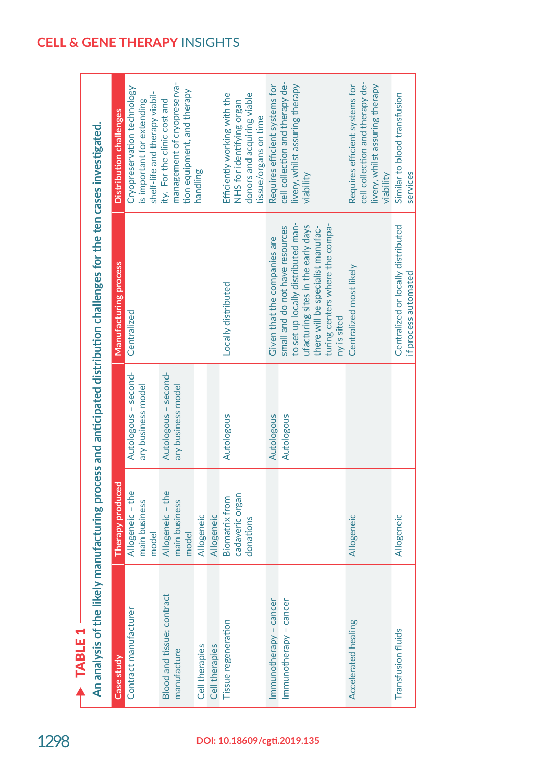|                                           |                                                       |                                            | An analysis of the likely manufacturing process and anticipated distribution challenges for the ten cases investigated.                                                                            |                                                                                                                   |
|-------------------------------------------|-------------------------------------------------------|--------------------------------------------|----------------------------------------------------------------------------------------------------------------------------------------------------------------------------------------------------|-------------------------------------------------------------------------------------------------------------------|
| Case study                                | Therapy produced                                      |                                            | Manufacturing process                                                                                                                                                                              | Distribution challenges                                                                                           |
| Contract manufacturer                     | Allogeneic - the<br>main business<br>model            | Autologous - second-<br>ary business model | Centralized                                                                                                                                                                                        | Cryopreservation technology<br>shelf-life and therapy viabil-<br>is important for extending                       |
| Blood and tissue; contract<br>manufacture | Allogeneic - the<br>main business<br>model            | Autologous - second-<br>ary business model |                                                                                                                                                                                                    | management of cryopreserva-<br>tion equipment, and therapy<br>ity. For the clinic cost and                        |
| Cell therapies                            | Allogeneic                                            |                                            |                                                                                                                                                                                                    | handling                                                                                                          |
| Cell therapies                            | Allogeneic                                            |                                            |                                                                                                                                                                                                    |                                                                                                                   |
| Tissue regeneration                       | cadaveric organ<br><b>Biomatrix from</b><br>donations | Autologous                                 | Locally distributed                                                                                                                                                                                | Efficiently working with the<br>donors and acquiring viable<br>NHS for identifying organ<br>tissue/organs on time |
| Immunotherapy - cancer                    |                                                       | Autologous                                 | Given that the companies are                                                                                                                                                                       | Requires efficient systems for                                                                                    |
| Immunotherapy - cancer                    |                                                       | Autologous                                 | to set up locally distributed man-<br>turing centers where the compa-<br>ufacturing sites in the early days<br>small and do not have resources<br>there will be specialist manufac-<br>ny is sited | cell collection and therapy de-<br>livery, whilst assuring therapy<br>viability                                   |
| Accelerated healing                       | Allogeneic                                            |                                            | Centralized most likely                                                                                                                                                                            | cell collection and therapy de-<br>Requires efficient systems for<br>livery, whilst assuring therapy<br>viability |
| <b>Transfusion fluids</b>                 | Allogeneic                                            |                                            | Centralized or locally distributed<br>if process automated                                                                                                                                         | Similar to blood transfusion<br>services                                                                          |

TABLE<sub>1</sub> **ABLE1**  $\blacktriangle$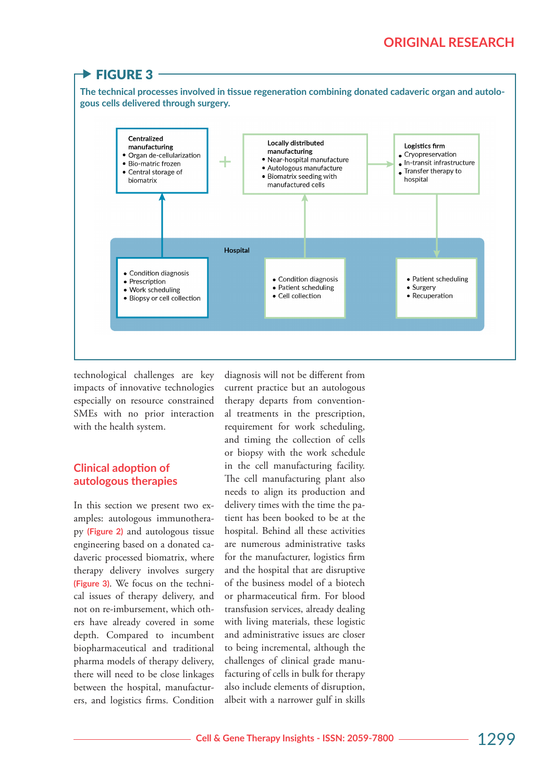#### $\blacktriangleright$  FIGURE 3 **The technical processes involved in tissue regeneration combining donated cadaveric organ and autologous cells delivered through surgery.**Centralized Locally distributed manufacturing Logistics firm manufacturing Cryopreservation · Organ de-cellularization · Near-hospital manufacture  $\bullet$  In-transit infrastructure · Bio-matric frozen · Autologous manufacture  $\bullet$  Transfer therapy to • Central storage of • Biomatrix seeding with biomatrix hospital manufactured cells Hospital • Condition diagnosis • Condition diagnosis • Patient scheduling • Prescription • Patient scheduling • Surgery · Work scheduling • Recuperation  $\bullet$  Cell collection · Biopsy or cell collection

technological challenges are key impacts of innovative technologies especially on resource constrained SMEs with no prior interaction with the health system.

# **Clinical adoption of autologous therapies**

In this section we present two examples: autologous immunotherapy **(Figure 2)** and autologous tissue engineering based on a donated cadaveric processed biomatrix, where therapy delivery involves surgery **(Figure 3)**. We focus on the technical issues of therapy delivery, and not on re-imbursement, which others have already covered in some depth. Compared to incumbent biopharmaceutical and traditional pharma models of therapy delivery, there will need to be close linkages between the hospital, manufacturers, and logistics firms. Condition

diagnosis will not be different from current practice but an autologous therapy departs from conventional treatments in the prescription, requirement for work scheduling, and timing the collection of cells or biopsy with the work schedule in the cell manufacturing facility. The cell manufacturing plant also needs to align its production and delivery times with the time the patient has been booked to be at the hospital. Behind all these activities are numerous administrative tasks for the manufacturer, logistics firm and the hospital that are disruptive of the business model of a biotech or pharmaceutical firm. For blood transfusion services, already dealing with living materials, these logistic and administrative issues are closer to being incremental, although the challenges of clinical grade manufacturing of cells in bulk for therapy also include elements of disruption, albeit with a narrower gulf in skills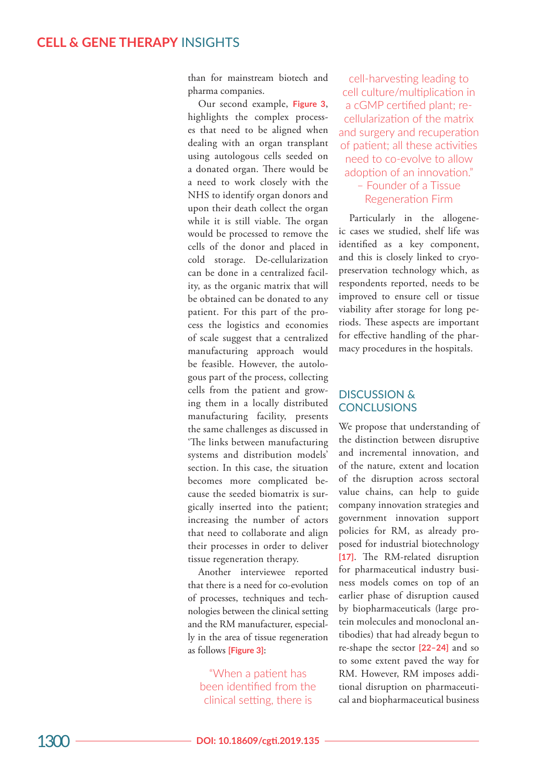than for mainstream biotech and pharma companies.

Our second example, **Figure 3**, highlights the complex process es that need to be aligned when dealing with an organ transplant using autologous cells seeded on a donated organ. There would be a need to work closely with the NHS to identify organ donors and upon their death collect the organ while it is still viable. The organ would be processed to remove the cells of the donor and placed in cold storage. De-cellularization can be done in a centralized facil ity, as the organic matrix that will be obtained can be donated to any patient. For this part of the pro cess the logistics and economies of scale suggest that a centralized manufacturing approach would be feasible. However, the autolo gous part of the process, collecting cells from the patient and grow ing them in a locally distributed manufacturing facility, presents the same challenges as discussed in 'The links between manufacturing systems and distribution models' section. In this case, the situation becomes more complicated be cause the seeded biomatrix is sur gically inserted into the patient; increasing the number of actors that need to collaborate and align their processes in order to deliver tissue regeneration therapy.

Another interviewee reported that there is a need for co-evolution of processes, techniques and tech nologies between the clinical setting and the RM manufacturer, especial ly in the area of tissue regeneration as follows **[Figure 3]** :

"When a patient has been identified from the clinical setting, there is

cell-harvesting leading to cell culture/multiplication in a cGMP certified plant; recellularization of the matrix and surgery and recuperation of patient; all these activities need to co-evolve to allow adoption of an innovation." – Founder of a Tissue Regeneration Firm

Particularly in the allogeneic cases we studied, shelf life was identified as a key component, and this is closely linked to cryo preservation technology which, as respondents reported, needs to be improved to ensure cell or tissue viability after storage for long pe riods. These aspects are important for effective handling of the phar macy procedures in the hospitals.

## DISCUSSION & **CONCLUSIONS**

We propose that understanding of the distinction between disruptive and incremental innovation, and of the nature, extent and location of the disruption across sectoral value chains, can help to guide company innovation strategies and government innovation support policies for RM, as already pro posed for industrial biotechnology **[17]**. The RM-related disruption for pharmaceutical industry busi ness models comes on top of an earlier phase of disruption caused by biopharmaceuticals (large pro tein molecules and monoclonal an tibodies) that had already begun to re-shape the sector **[22–24]** and so to some extent paved the way for RM. However, RM imposes addi tional disruption on pharmaceuti cal and biopharmaceutical business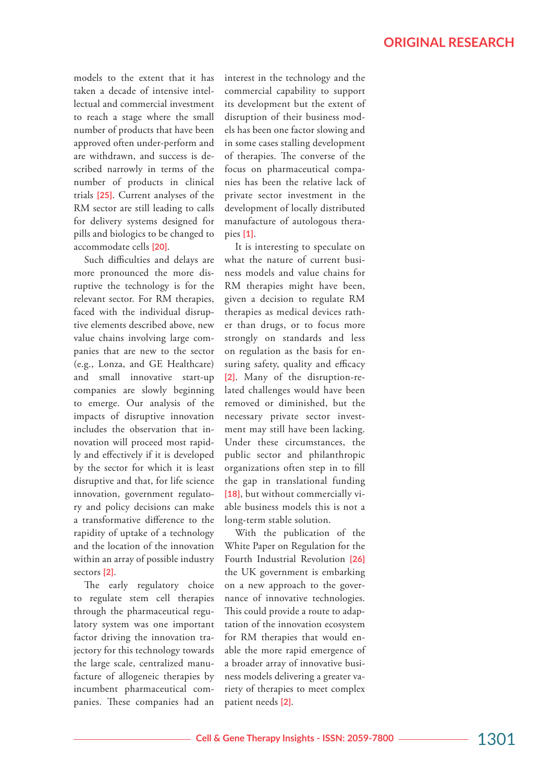models to the extent that it has taken a decade of intensive intellectual and commercial investment to reach a stage where the small number of products that have been approved often under-perform and are withdrawn, and success is described narrowly in terms of the number of products in clinical trials **[25]**. Current analyses of the RM sector are still leading to calls for delivery systems designed for pills and biologics to be changed to accommodate cells **[20]**.

Such difficulties and delays are more pronounced the more disruptive the technology is for the relevant sector. For RM therapies, faced with the individual disruptive elements described above, new value chains involving large companies that are new to the sector (e.g., Lonza, and GE Healthcare) and small innovative start-up companies are slowly beginning to emerge. Our analysis of the impacts of disruptive innovation includes the observation that innovation will proceed most rapidly and effectively if it is developed by the sector for which it is least disruptive and that, for life science innovation, government regulatory and policy decisions can make a transformative difference to the rapidity of uptake of a technology and the location of the innovation within an array of possible industry sectors **[2]**.

The early regulatory choice to regulate stem cell therapies through the pharmaceutical regulatory system was one important factor driving the innovation trajectory for this technology towards the large scale, centralized manufacture of allogeneic therapies by incumbent pharmaceutical companies. These companies had an interest in the technology and the commercial capability to support its development but the extent of disruption of their business models has been one factor slowing and in some cases stalling development of therapies. The converse of the focus on pharmaceutical companies has been the relative lack of private sector investment in the development of locally distributed manufacture of autologous therapies **[1]**.

It is interesting to speculate on what the nature of current business models and value chains for RM therapies might have been, given a decision to regulate RM therapies as medical devices rather than drugs, or to focus more strongly on standards and less on regulation as the basis for ensuring safety, quality and efficacy **[2]**. Many of the disruption-related challenges would have been removed or diminished, but the necessary private sector investment may still have been lacking. Under these circumstances, the public sector and philanthropic organizations often step in to fill the gap in translational funding **[18]**, but without commercially viable business models this is not a long-term stable solution.

With the publication of the White Paper on Regulation for the Fourth Industrial Revolution **[26]** the UK government is embarking on a new approach to the governance of innovative technologies. This could provide a route to adaptation of the innovation ecosystem for RM therapies that would enable the more rapid emergence of a broader array of innovative business models delivering a greater variety of therapies to meet complex patient needs **[2]**.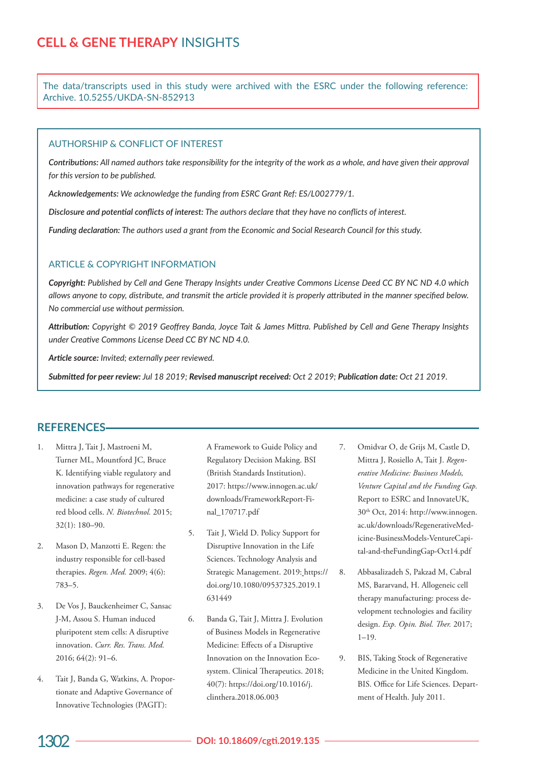The data/transcripts used in this study were archived with the ESRC under the following reference: Archive. 10.5255/UKDA-SN-852913

#### AUTHORSHIP & CONFLICT OF INTEREST

*Contributions: All named authors take responsibility for the integrity of the work as a whole, and have given their approval for this version to be published.*

*Acknowledgements: We acknowledge the funding from ESRC Grant Ref: ES/L002779/1.*

*Disclosure and potential conflicts of interest: The authors declare that they have no conflicts of interest.*

*Funding declaration: The authors used a grant from the Economic and Social Research Council for this study.*

### ARTICLE & COPYRIGHT INFORMATION

*Copyright: Published by Cell and Gene Therapy Insights under Creative Commons License Deed CC BY NC ND 4.0 which allows anyone to copy, distribute, and transmit the article provided it is properly attributed in the manner specified below. No commercial use without permission.*

*Attribution: Copyright © 2019 Geoffrey Banda, Joyce Tait & James Mittra. Published by Cell and Gene Therapy Insights under Creative Commons License Deed CC BY NC ND 4.0.*

*Article source: Invited; externally peer reviewed.*

*Submitted for peer review: Jul 18 2019; Revised manuscript received: Oct 2 2019; Publication date: Oct 21 2019.*

### **REFERENCES**

- 1. Mittra J, Tait J, Mastroeni M, Turner ML, Mountford JC, Bruce K. Identifying viable regulatory and innovation pathways for regenerative medicine: a case study of cultured red blood cells. *N. Biotechnol.* 2015; 32(1): 180–90.
- 2. Mason D, Manzotti E. Regen: the industry responsible for cell-based therapies. *Regen. Med.* 2009; 4(6): 783–5.
- 3. De Vos J, Bauckenheimer C, Sansac J-M, Assou S. Human induced pluripotent stem cells: A disruptive innovation. *Curr. Res. Trans. Med.* 2016; 64(2): 91–6.
- 4. Tait J, Banda G, Watkins, A. Proportionate and Adaptive Governance of Innovative Technologies (PAGIT):
- A Framework to Guide Policy and Regulatory Decision Making. BSI (British Standards Institution). 2017: https://www.innogen.ac.uk/ downloads/FrameworkReport-Final\_170717.pdf
- 5. Tait J, Wield D. Policy Support for Disruptive Innovation in the Life Sciences. Technology Analysis and Strategic Management. 2019: https:// doi.org/10.1080/09537325.2019.1 631449
- 6. Banda G, Tait J, Mittra J. Evolution of Business Models in Regenerative Medicine: Effects of a Disruptive Innovation on the Innovation Ecosystem. Clinical Therapeutics. 2018; 40(7): https://doi.org/10.1016/j. clinthera.2018.06.003
- 7. Omidvar O, de Grijs M, Castle D, Mittra J, Rosiello A, Tait J. *Regenerative Medicine: Business Models, Venture Capital and the Funding Gap.* Report to ESRC and InnovateUK, 30th Oct, 2014: http://www.innogen. ac.uk/downloads/RegenerativeMedicine-BusinessModels-VentureCapital-and-theFundingGap-Oct14.pdf
- 8. Abbasalizadeh S, Pakzad M, Cabral MS, Bararvand, H. Allogeneic cell therapy manufacturing: process development technologies and facility design. *Exp. Opin. Biol. Ther.* 2017;  $1-19.$
- 9. BIS, Taking Stock of Regenerative Medicine in the United Kingdom. BIS. Office for Life Sciences. Department of Health. July 2011.